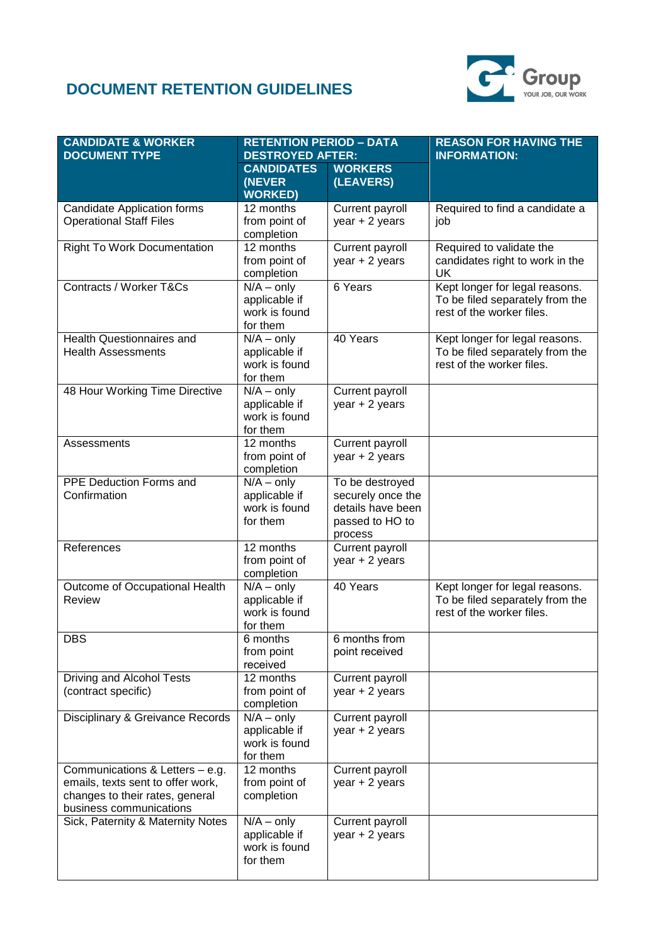## **DOCUMENT RETENTION GUIDELINES**



| <b>CANDIDATE &amp; WORKER</b><br><b>DOCUMENT TYPE</b>                                                                              | <b>RETENTION PERIOD - DATA</b><br><b>DESTROYED AFTER:</b>             |                                                                                         | <b>REASON FOR HAVING THE</b><br><b>INFORMATION:</b>                                            |
|------------------------------------------------------------------------------------------------------------------------------------|-----------------------------------------------------------------------|-----------------------------------------------------------------------------------------|------------------------------------------------------------------------------------------------|
|                                                                                                                                    | <b>CANDIDATES</b><br>(NEVER<br><b>WORKED)</b>                         | <b>WORKERS</b><br>(LEAVERS)                                                             |                                                                                                |
| <b>Candidate Application forms</b><br><b>Operational Staff Files</b>                                                               | 12 months<br>from point of<br>completion                              | Current payroll<br>year $+2$ years                                                      | Required to find a candidate a<br>job                                                          |
| <b>Right To Work Documentation</b>                                                                                                 | 12 months<br>from point of<br>completion                              | Current payroll<br>year $+2$ years                                                      | Required to validate the<br>candidates right to work in the<br>UK                              |
| Contracts / Worker T&Cs                                                                                                            | $N/A - only$<br>applicable if<br>work is found<br>for them            | 6 Years                                                                                 | Kept longer for legal reasons.<br>To be filed separately from the<br>rest of the worker files. |
| <b>Health Questionnaires and</b><br><b>Health Assessments</b>                                                                      | $\overline{N/A}$ – only<br>applicable if<br>work is found<br>for them | 40 Years                                                                                | Kept longer for legal reasons.<br>To be filed separately from the<br>rest of the worker files. |
| 48 Hour Working Time Directive                                                                                                     | $N/A - only$<br>applicable if<br>work is found<br>for them            | Current payroll<br>year + 2 years                                                       |                                                                                                |
| Assessments                                                                                                                        | 12 months<br>from point of<br>completion                              | Current payroll<br>year $+2$ years                                                      |                                                                                                |
| PPE Deduction Forms and<br>Confirmation                                                                                            | $N/A - only$<br>applicable if<br>work is found<br>for them            | To be destroyed<br>securely once the<br>details have been<br>passed to HO to<br>process |                                                                                                |
| References                                                                                                                         | 12 months<br>from point of<br>completion                              | Current payroll<br>year $+2$ years                                                      |                                                                                                |
| Outcome of Occupational Health<br>Review                                                                                           | $\overline{N}/A$ – only<br>applicable if<br>work is found<br>for them | 40 Years                                                                                | Kept longer for legal reasons.<br>To be filed separately from the<br>rest of the worker files. |
| <b>DBS</b>                                                                                                                         | $6$ months<br>from point<br>received                                  | 6 months from<br>point received                                                         |                                                                                                |
| Driving and Alcohol Tests<br>(contract specific)                                                                                   | 12 months<br>from point of<br>completion                              | Current payroll<br>year $+2$ years                                                      |                                                                                                |
| Disciplinary & Greivance Records                                                                                                   | $N/A - only$<br>applicable if<br>work is found<br>for them            | Current payroll<br>year $+2$ years                                                      |                                                                                                |
| Communications & Letters - e.g.<br>emails, texts sent to offer work,<br>changes to their rates, general<br>business communications | 12 months<br>from point of<br>completion                              | Current payroll<br>$year + 2 years$                                                     |                                                                                                |
| Sick, Paternity & Maternity Notes                                                                                                  | $N/A - only$<br>applicable if<br>work is found<br>for them            | Current payroll<br>year $+2$ years                                                      |                                                                                                |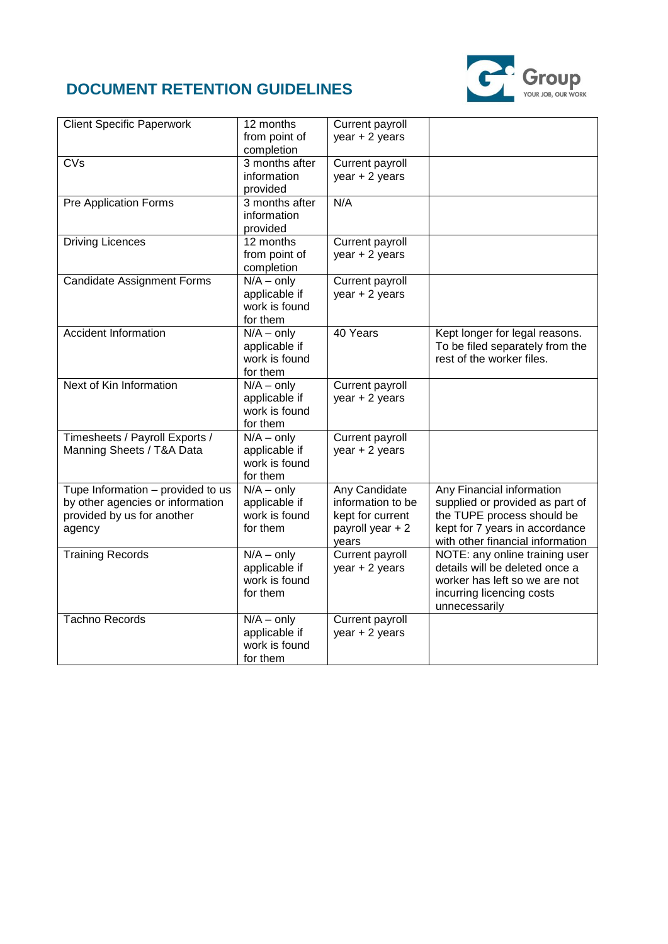## **DOCUMENT RETENTION GUIDELINES**



| <b>Client Specific Paperwork</b>  | 12 months      | Current payroll   |                                  |
|-----------------------------------|----------------|-------------------|----------------------------------|
|                                   | from point of  | year $+2$ years   |                                  |
|                                   | completion     |                   |                                  |
| $\overline{\text{CVs}}$           | 3 months after | Current payroll   |                                  |
|                                   | information    | year + 2 years    |                                  |
|                                   | provided       |                   |                                  |
| Pre Application Forms             | 3 months after | N/A               |                                  |
|                                   | information    |                   |                                  |
|                                   | provided       |                   |                                  |
| <b>Driving Licences</b>           | 12 months      | Current payroll   |                                  |
|                                   | from point of  | $year + 2 years$  |                                  |
|                                   | completion     |                   |                                  |
| <b>Candidate Assignment Forms</b> | $N/A - only$   | Current payroll   |                                  |
|                                   | applicable if  | year + 2 years    |                                  |
|                                   | work is found  |                   |                                  |
|                                   | for them       |                   |                                  |
| <b>Accident Information</b>       | $N/A - only$   | 40 Years          | Kept longer for legal reasons.   |
|                                   | applicable if  |                   | To be filed separately from the  |
|                                   | work is found  |                   | rest of the worker files.        |
|                                   | for them       |                   |                                  |
| Next of Kin Information           | $N/A - only$   | Current payroll   |                                  |
|                                   | applicable if  | year + 2 years    |                                  |
|                                   | work is found  |                   |                                  |
|                                   | for them       |                   |                                  |
| Timesheets / Payroll Exports /    | $N/A$ – only   | Current payroll   |                                  |
| Manning Sheets / T&A Data         | applicable if  | $year + 2 years$  |                                  |
|                                   | work is found  |                   |                                  |
|                                   | for them       |                   |                                  |
| Tupe Information - provided to us | $N/A - only$   | Any Candidate     | Any Financial information        |
| by other agencies or information  | applicable if  | information to be | supplied or provided as part of  |
| provided by us for another        | work is found  | kept for current  | the TUPE process should be       |
| agency                            | for them       | payroll year + 2  | kept for 7 years in accordance   |
|                                   |                | years             | with other financial information |
| <b>Training Records</b>           | $N/A - only$   | Current payroll   | NOTE: any online training user   |
|                                   | applicable if  | $year + 2 years$  | details will be deleted once a   |
|                                   | work is found  |                   | worker has left so we are not    |
|                                   | for them       |                   | incurring licencing costs        |
|                                   |                |                   | unnecessarily                    |
| <b>Tachno Records</b>             | $N/A - only$   | Current payroll   |                                  |
|                                   | applicable if  | $year + 2 years$  |                                  |
|                                   | work is found  |                   |                                  |
|                                   | for them       |                   |                                  |